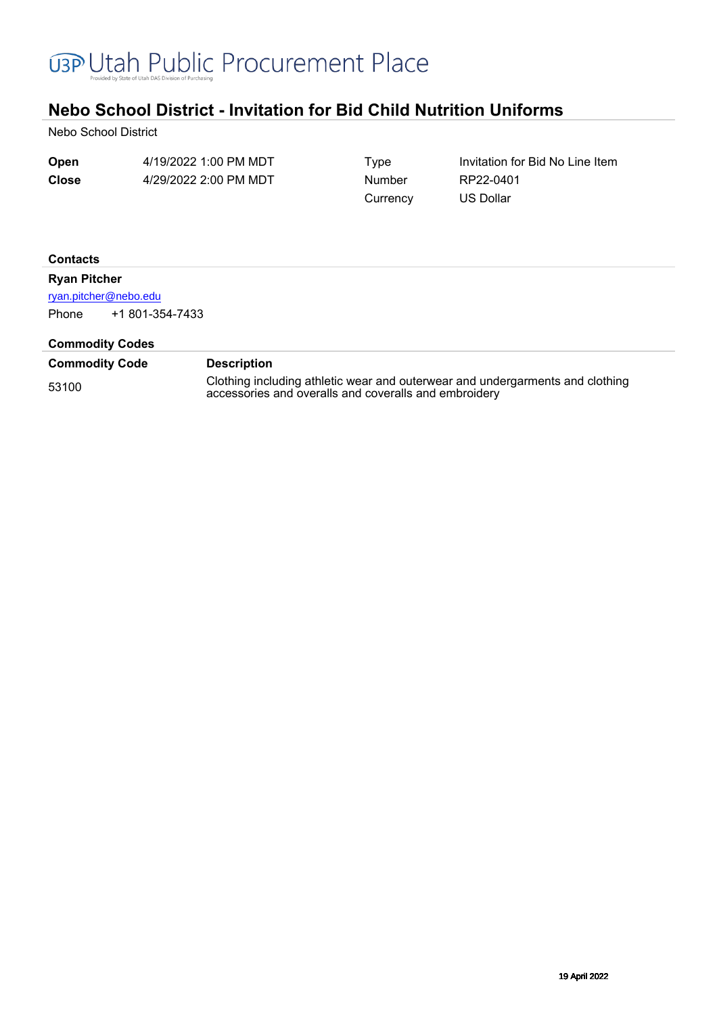

# **Nebo School District - Invitation for Bid Child Nutrition Uniforms**

Nebo School District

| Open         | 4/19/2022 1:00 PM MDT | Type     | Invitation for Bid No Line Item |
|--------------|-----------------------|----------|---------------------------------|
| <b>Close</b> | 4/29/2022 2:00 PM MDT | Number   | RP22-0401                       |
|              |                       | Currency | US Dollar                       |

#### **Contacts**

#### **Ryan Pitcher**

[ryan.pitcher@nebo.edu](mailto:ryan.pitcher@nebo.edu)

Phone +1 801-354-7433

#### **Commodity Codes**

| <b>Commodity Code</b> | <b>Description</b>                                                                                                                     |
|-----------------------|----------------------------------------------------------------------------------------------------------------------------------------|
| 53100                 | Clothing including athletic wear and outerwear and undergarments and clothing<br>accessories and overalls and coveralls and embroidery |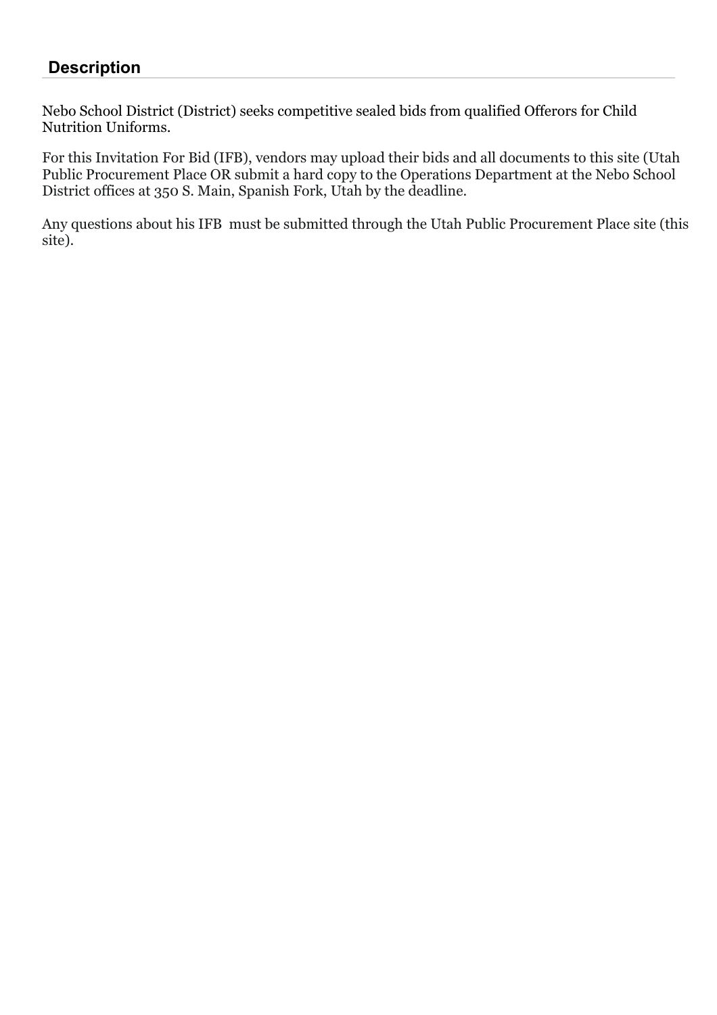## **Description**

Nebo School District (District) seeks competitive sealed bids from qualified Offerors for Child Nutrition Uniforms.

For this Invitation For Bid (IFB), vendors may upload their bids and all documents to this site (Utah Public Procurement Place OR submit a hard copy to the Operations Department at the Nebo School District offices at 350 S. Main, Spanish Fork, Utah by the deadline.

Any questions about his IFB must be submitted through the Utah Public Procurement Place site (this site).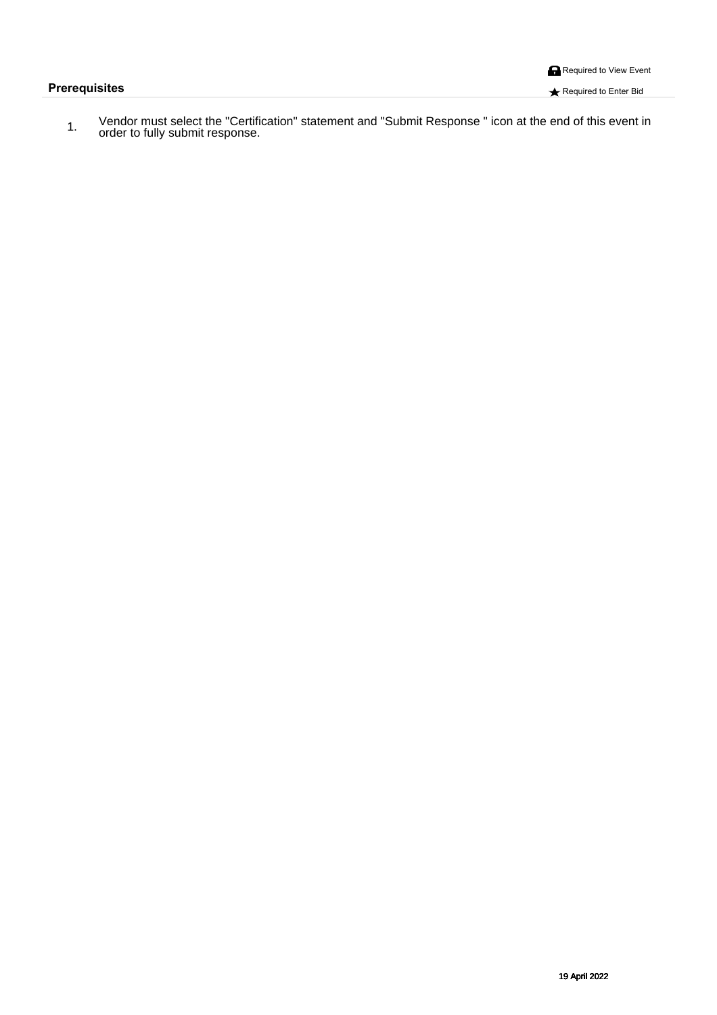**Prerequisites Required to Enter Bid** 

á FÈ X^}å[¦Á( `●cÁ^|^&cÁc@AÄÔ^¦cãa3kaeaã[}ÀÁncaez^{^}cAan}åÀÄÙ à{ãAÜ^●][}●^ÀÄAS&[}ÀaeaAc@A^}åÁ{-AaQãeA^ç^}cA§/<br>Á FÈ [¦å^¦Áq{Ă´||^Á `à{ãnÁ^●][}●^È

Á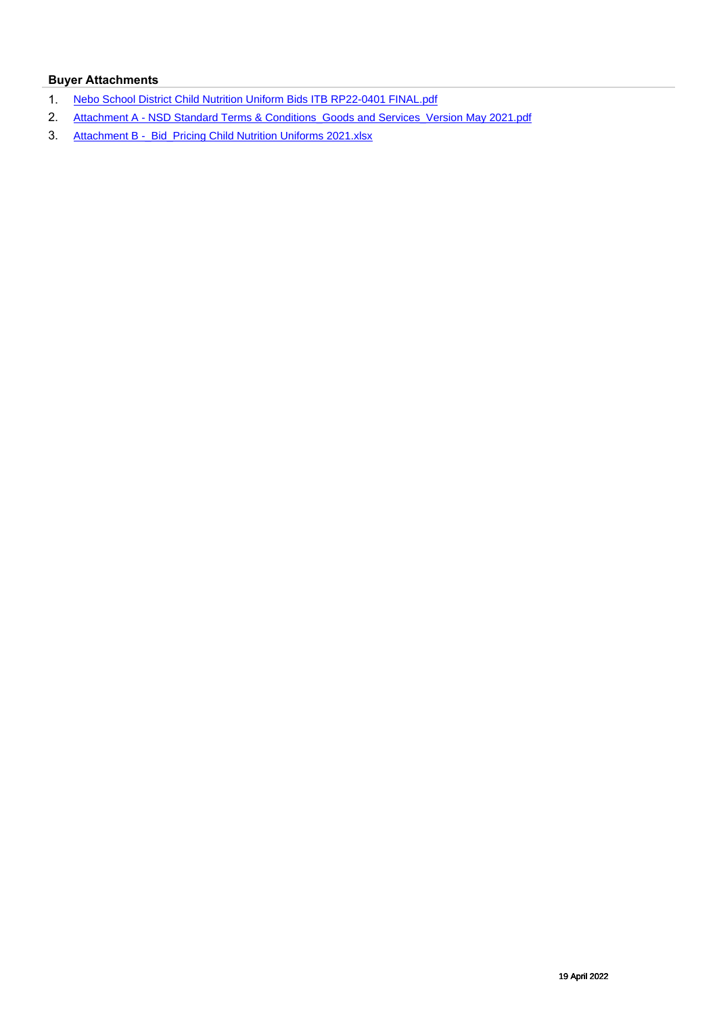### **Buyer Attachments**

- 1. [Nebo School District Child Nutrition Uniform Bids ITB RP22-0401 FINAL.pdf](https://s3.amazonaws.com/solutions-selectsite-documents/Sourcingevent/1070906-1237440651Nebo%20School%20District%20Child%20Nutrition%20Uniform%20Bids%20ITB%20RP22-0401%20FINAL.pdf?AWSAccessKeyId=AKIAJ5HNJE5DFBZ5ONSA&Expires=1713466900&Signature=hisR8bMUBUwGa9dAVHAtiCxh3uI%3D)
- 2. [Attachment A NSD Standard Terms & Conditions\\_Goods and Services\\_Version May 2021.pdf](https://s3.amazonaws.com/solutions-selectsite-documents/Sourcingevent/1070906-1237434718Attachment%20A%20-%20NSD%20Standard%20Terms%20%26%20Conditions_Goods%20and%20Services_Version%20May%202021.pdf?AWSAccessKeyId=AKIAJ5HNJE5DFBZ5ONSA&Expires=1713466900&Signature=ZH3QF0Ru0zT1i1WPWGIKrVf07ww%3D)
- 3. Attachment B -\_ Bid\_Pricing Child Nutrition Uniforms 2021.xlsx